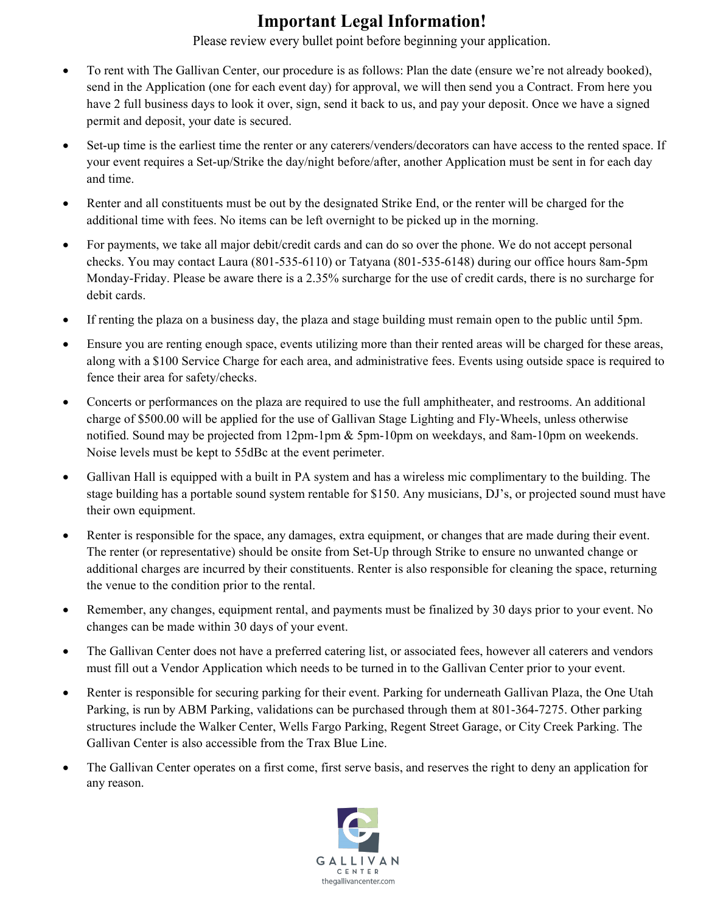## **Important Legal Information!**

Please review every bullet point before beginning your application.

- To rent with The Gallivan Center, our procedure is as follows: Plan the date (ensure we're not already booked), send in the Application (one for each event day) for approval, we will then send you a Contract. From here you have 2 full business days to look it over, sign, send it back to us, and pay your deposit. Once we have a signed permit and deposit, your date is secured.
- Set-up time is the earliest time the renter or any caterers/venders/decorators can have access to the rented space. If your event requires a Set-up/Strike the day/night before/after, another Application must be sent in for each day and time.
- Renter and all constituents must be out by the designated Strike End, or the renter will be charged for the additional time with fees. No items can be left overnight to be picked up in the morning.
- For payments, we take all major debit/credit cards and can do so over the phone. We do not accept personal checks. You may contact Laura (801-535-6110) or Tatyana (801-535-6148) during our office hours 8am-5pm Monday-Friday. Please be aware there is a 2.35% surcharge for the use of credit cards, there is no surcharge for debit cards.
- If renting the plaza on a business day, the plaza and stage building must remain open to the public until 5pm.
- Ensure you are renting enough space, events utilizing more than their rented areas will be charged for these areas, along with a \$100 Service Charge for each area, and administrative fees. Events using outside space is required to fence their area for safety/checks.
- Concerts or performances on the plaza are required to use the full amphitheater, and restrooms. An additional charge of \$500.00 will be applied for the use of Gallivan Stage Lighting and Fly-Wheels, unless otherwise notified. Sound may be projected from 12pm-1pm & 5pm-10pm on weekdays, and 8am-10pm on weekends. Noise levels must be kept to 55dBc at the event perimeter.
- Gallivan Hall is equipped with a built in PA system and has a wireless mic complimentary to the building. The stage building has a portable sound system rentable for \$150. Any musicians, DJ's, or projected sound must have their own equipment.
- Renter is responsible for the space, any damages, extra equipment, or changes that are made during their event. The renter (or representative) should be onsite from Set-Up through Strike to ensure no unwanted change or additional charges are incurred by their constituents. Renter is also responsible for cleaning the space, returning the venue to the condition prior to the rental.
- Remember, any changes, equipment rental, and payments must be finalized by 30 days prior to your event. No changes can be made within 30 days of your event.
- The Gallivan Center does not have a preferred catering list, or associated fees, however all caterers and vendors must fill out a Vendor Application which needs to be turned in to the Gallivan Center prior to your event.
- Renter is responsible for securing parking for their event. Parking for underneath Gallivan Plaza, the One Utah Parking, is run by ABM Parking, validations can be purchased through them at 801-364-7275. Other parking structures include the Walker Center, Wells Fargo Parking, Regent Street Garage, or City Creek Parking. The Gallivan Center is also accessible from the Trax Blue Line.
- The Gallivan Center operates on a first come, first serve basis, and reserves the right to deny an application for any reason.